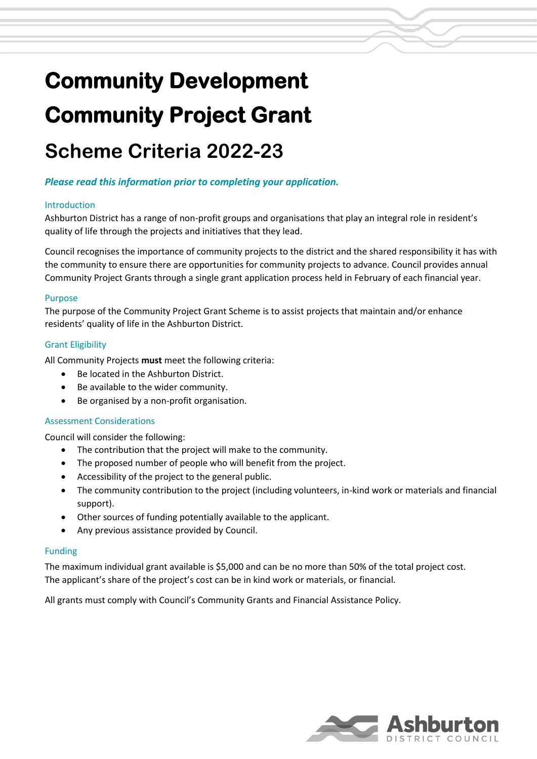# **Community Development Community Project Grant**

# **Scheme Criteria 2022-23**

# *Please read this information prior to completing your application.*

#### Introduction

Ashburton District has a range of non-profit groups and organisations that play an integral role in resident's quality of life through the projects and initiatives that they lead.

Council recognises the importance of community projects to the district and the shared responsibility it has with the community to ensure there are opportunities for community projects to advance. Council provides annual Community Project Grants through a single grant application process held in February of each financial year.

#### Purpose

The purpose of the Community Project Grant Scheme is to assist projects that maintain and/or enhance residents' quality of life in the Ashburton District.

# Grant Eligibility

All Community Projects **must** meet the following criteria:

- Be located in the Ashburton District.
- Be available to the wider community.
- Be organised by a non-profit organisation.

# Assessment Considerations

Council will consider the following:

- The contribution that the project will make to the community.
- The proposed number of people who will benefit from the project.
- Accessibility of the project to the general public.
- The community contribution to the project (including volunteers, in-kind work or materials and financial support).
- Other sources of funding potentially available to the applicant.
- Any previous assistance provided by Council.

#### Funding

The maximum individual grant available is \$5,000 and can be no more than 50% of the total project cost. The applicant's share of the project's cost can be in kind work or materials, or financial.

All grants must comply with Council's Community Grants and Financial Assistance Policy.